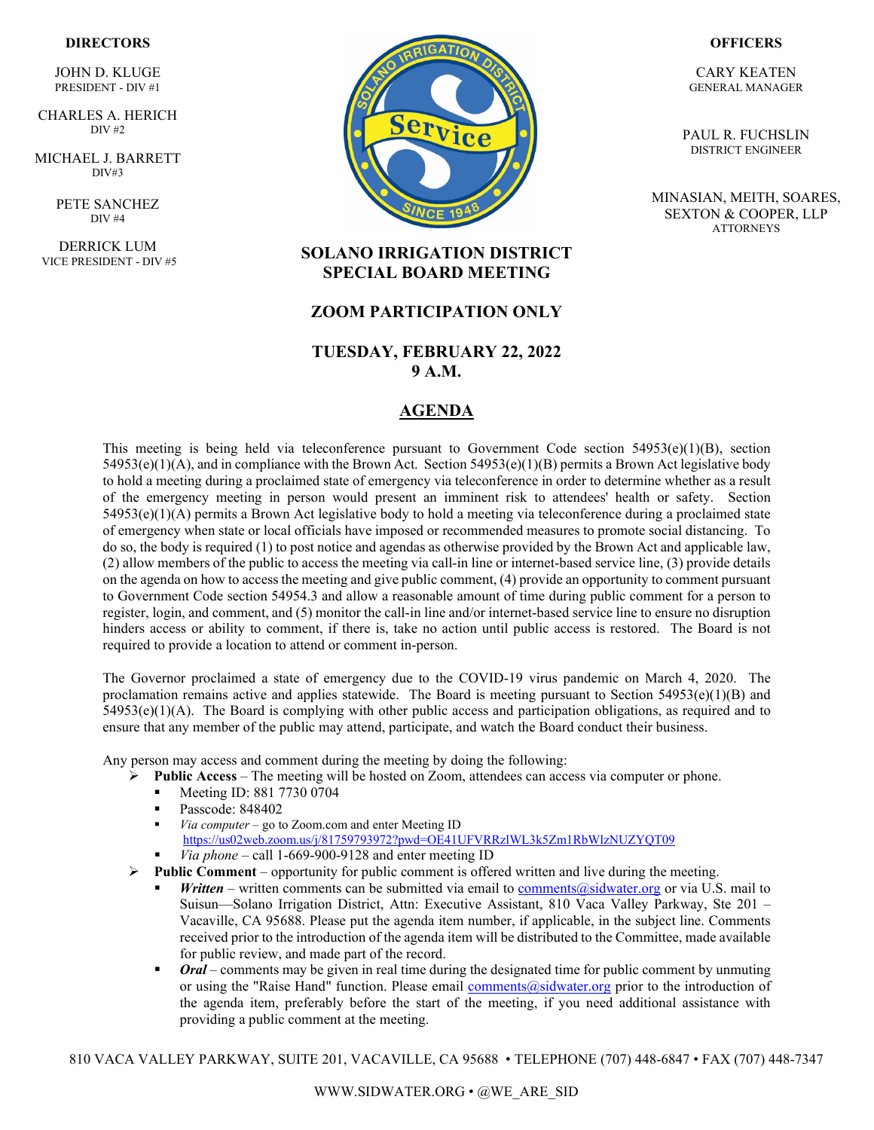#### **DIRECTORS**

JOHN D. KLUGE PRESIDENT - DIV #1

` CHARLES A. HERICH  $\overline{DIV}$  #2

MICHAEL J. BARRETT DIV#3

> PETE SANCHEZ DIV #4

DERRICK LUM VICE PRESIDENT - DIV #5



#### **OFFICERS**

CARY KEATEN GENERAL MANAGER

PAUL R. FUCHSLIN DISTRICT ENGINEER

MINASIAN, MEITH, SOARES, SEXTON & COOPER, LLP **ATTORNEYS** 

## **SOLANO IRRIGATION DISTRICT SPECIAL BOARD MEETING**

### **ZOOM PARTICIPATION ONLY**

### **TUESDAY, FEBRUARY 22, 2022 9 A.M.**

## **AGENDA**

This meeting is being held via teleconference pursuant to Government Code section  $54953(e)(1)(B)$ , section  $54953(e)(1)(A)$ , and in compliance with the Brown Act. Section  $54953(e)(1)(B)$  permits a Brown Act legislative body to hold a meeting during a proclaimed state of emergency via teleconference in order to determine whether as a result of the emergency meeting in person would present an imminent risk to attendees' health or safety. Section 54953(e)(1)(A) permits a Brown Act legislative body to hold a meeting via teleconference during a proclaimed state of emergency when state or local officials have imposed or recommended measures to promote social distancing. To do so, the body is required (1) to post notice and agendas as otherwise provided by the Brown Act and applicable law, (2) allow members of the public to access the meeting via call-in line or internet-based service line, (3) provide details on the agenda on how to access the meeting and give public comment, (4) provide an opportunity to comment pursuant to Government Code section 54954.3 and allow a reasonable amount of time during public comment for a person to register, login, and comment, and (5) monitor the call-in line and/or internet-based service line to ensure no disruption hinders access or ability to comment, if there is, take no action until public access is restored. The Board is not required to provide a location to attend or comment in-person.

The Governor proclaimed a state of emergency due to the COVID-19 virus pandemic on March 4, 2020. The proclamation remains active and applies statewide. The Board is meeting pursuant to Section  $54953(e)(1)(B)$  and  $54953(e)(1)(A)$ . The Board is complying with other public access and participation obligations, as required and to ensure that any member of the public may attend, participate, and watch the Board conduct their business.

Any person may access and comment during the meeting by doing the following:

- **►** Public Access The meeting will be hosted on Zoom, attendees can access via computer or phone.
	- Meeting ID: 881 7730 0704
	- Passcode: 848402
	- *Via computer* go to Zoom.com and enter Meeting ID <https://us02web.zoom.us/j/81759793972?pwd=OE41UFVRRzlWL3k5Zm1RbWlzNUZYQT09>
	- *Via phone* call 1-669-900-9128 and enter meeting ID
- $\triangleright$  **Public Comment** opportunity for public comment is offered written and live during the meeting.
	- *Written* written comments can be submitted via email to [comments@sidwater.org](mailto:comments@sidwater.org) or via U.S. mail to Suisun—Solano Irrigation District, Attn: Executive Assistant, 810 Vaca Valley Parkway, Ste 201 – Vacaville, CA 95688. Please put the agenda item number, if applicable, in the subject line. Comments received prior to the introduction of the agenda item will be distributed to the Committee, made available for public review, and made part of the record.
	- *Oral* comments may be given in real time during the designated time for public comment by unmuting or using the "Raise Hand" function. Please email [comments@sidwater.org](mailto:comments@sidwater.org) prior to the introduction of the agenda item, preferably before the start of the meeting, if you need additional assistance with providing a public comment at the meeting.

810 VACA VALLEY PARKWAY, SUITE 201, VACAVILLE, CA 95688 • TELEPHONE (707) 448-6847 • FAX (707) 448-7347